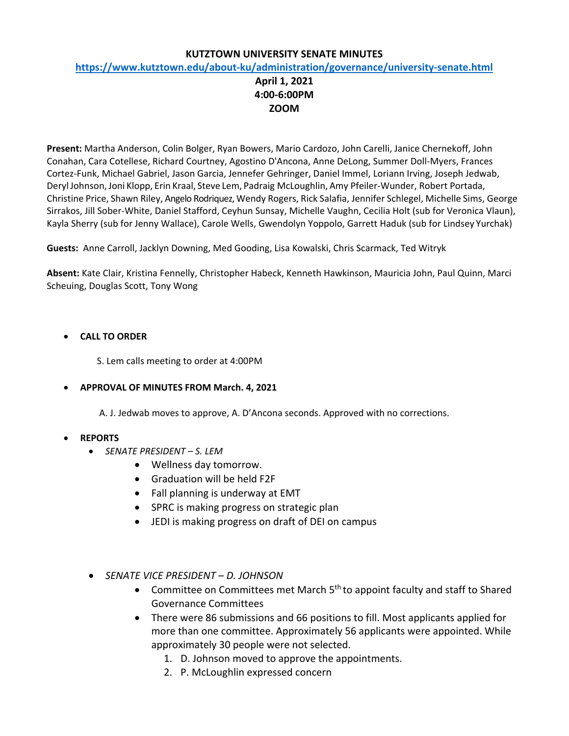### **KUTZTOWN UNIVERSITY SENATE MINUTES**

### **<https://www.kutztown.edu/about-ku/administration/governance/university-senate.html>**

## **April 1, 2021 4:00-6:00PM ZOOM**

**Present:** Martha Anderson, Colin Bolger, Ryan Bowers, Mario Cardozo, John Carelli, Janice Chernekoff, John Conahan, Cara Cotellese, Richard Courtney, Agostino D'Ancona, Anne DeLong, Summer Doll-Myers, Frances Cortez-Funk, Michael Gabriel, Jason Garcia, Jennefer Gehringer, Daniel Immel, Loriann Irving, Joseph Jedwab, DerylJohnson,Joni Klopp, Erin Kraal, Steve Lem, Padraig McLoughlin, Amy Pfeiler-Wunder, Robert Portada, Christine Price, Shawn Riley, Angelo Rodriquez, Wendy Rogers, Rick Salafia, Jennifer Schlegel, Michelle Sims, George Sirrakos, Jill Sober-White, Daniel Stafford, Ceyhun Sunsay, Michelle Vaughn, Cecilia Holt (sub for Veronica Vlaun), Kayla Sherry (sub for Jenny Wallace), Carole Wells, Gwendolyn Yoppolo, Garrett Haduk (sub for Lindsey Yurchak)

**Guests:** Anne Carroll, Jacklyn Downing, Med Gooding, Lisa Kowalski, Chris Scarmack, Ted Witryk

**Absent:** Kate Clair, Kristina Fennelly, Christopher Habeck, Kenneth Hawkinson, Mauricia John, Paul Quinn, Marci Scheuing, Douglas Scott, Tony Wong

### • **CALL TO ORDER**

S. Lem calls meeting to order at 4:00PM

#### • **APPROVAL OF MINUTES FROM March. 4, 2021**

A. J. Jedwab moves to approve, A. D'Ancona seconds. Approved with no corrections.

### • **REPORTS**

- *SENATE PRESIDENT – S. LEM*
	- Wellness day tomorrow.
	- Graduation will be held F2F
	- Fall planning is underway at EMT
	- SPRC is making progress on strategic plan
	- JEDI is making progress on draft of DEI on campus
- *SENATE VICE PRESIDENT – D. JOHNSON*
	- Committee on Committees met March  $5<sup>th</sup>$  to appoint faculty and staff to Shared Governance Committees
	- There were 86 submissions and 66 positions to fill. Most applicants applied for more than one committee. Approximately 56 applicants were appointed. While approximately 30 people were not selected.
		- 1. D. Johnson moved to approve the appointments.
		- 2. P. McLoughlin expressed concern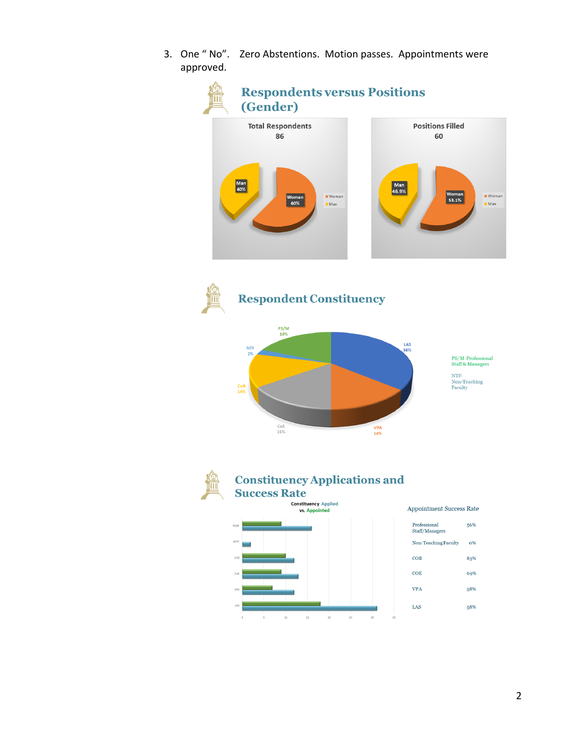3. One " No". Zero Abstentions. Motion passes. Appointments were approved.





# **Respondent Constituency**





## **Constituency Applications and Success Rate**

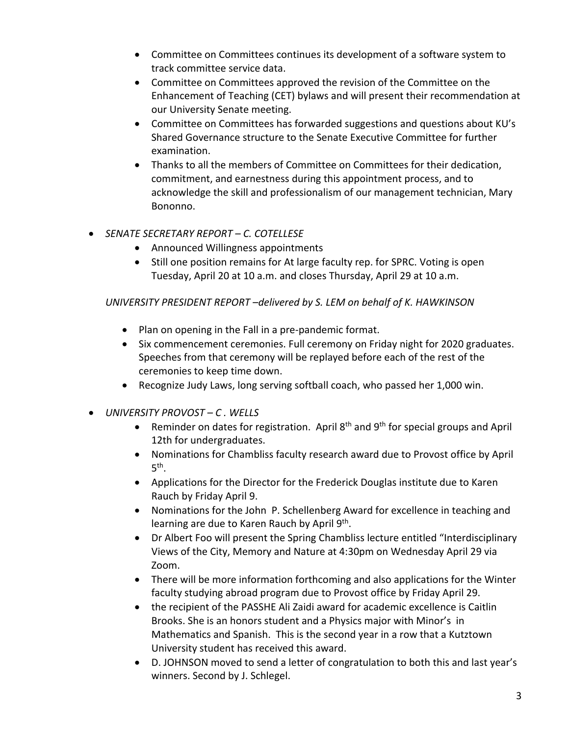- Committee on Committees continues its development of a software system to track committee service data.
- Committee on Committees approved the revision of the Committee on the Enhancement of Teaching (CET) bylaws and will present their recommendation at our University Senate meeting.
- Committee on Committees has forwarded suggestions and questions about KU's Shared Governance structure to the Senate Executive Committee for further examination.
- Thanks to all the members of Committee on Committees for their dedication, commitment, and earnestness during this appointment process, and to acknowledge the skill and professionalism of our management technician, Mary Bononno.
- *SENATE SECRETARY REPORT – C. COTELLESE*
	- Announced Willingness appointments
	- Still one position remains for At large faculty rep. for SPRC. Voting is open Tuesday, April 20 at 10 a.m. and closes Thursday, April 29 at 10 a.m.

## *UNIVERSITY PRESIDENT REPORT –delivered by S. LEM on behalf of K. HAWKINSON*

- Plan on opening in the Fall in a pre-pandemic format.
- Six commencement ceremonies. Full ceremony on Friday night for 2020 graduates. Speeches from that ceremony will be replayed before each of the rest of the ceremonies to keep time down.
- Recognize Judy Laws, long serving softball coach, who passed her 1,000 win.
- *UNIVERSITY PROVOST – C . WELLS*
	- Reminder on dates for registration. April  $8<sup>th</sup>$  and  $9<sup>th</sup>$  for special groups and April 12th for undergraduates.
	- Nominations for Chambliss faculty research award due to Provost office by April 5 th .
	- Applications for the Director for the Frederick Douglas institute due to Karen Rauch by Friday April 9.
	- Nominations for the John P. Schellenberg Award for excellence in teaching and learning are due to Karen Rauch by April 9<sup>th</sup>.
	- Dr Albert Foo will present the Spring Chambliss lecture entitled "Interdisciplinary Views of the City, Memory and Nature at 4:30pm on Wednesday April 29 via Zoom.
	- There will be more information forthcoming and also applications for the Winter faculty studying abroad program due to Provost office by Friday April 29.
	- the recipient of the PASSHE Ali Zaidi award for academic excellence is Caitlin Brooks. She is an honors student and a Physics major with Minor's in Mathematics and Spanish. This is the second year in a row that a Kutztown University student has received this award.
	- D. JOHNSON moved to send a letter of congratulation to both this and last year's winners. Second by J. Schlegel.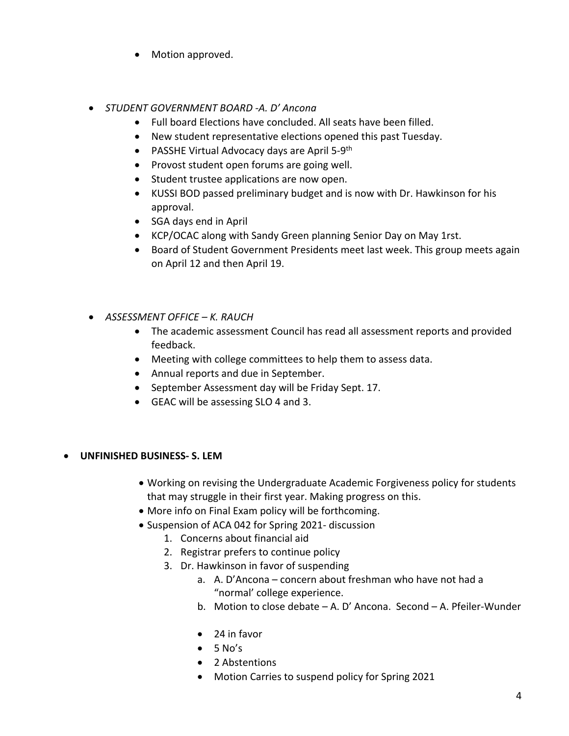- Motion approved.
- *STUDENT GOVERNMENT BOARD -A. D' Ancona*
	- Full board Elections have concluded. All seats have been filled.
	- New student representative elections opened this past Tuesday.
	- PASSHE Virtual Advocacy days are April 5-9<sup>th</sup>
	- Provost student open forums are going well.
	- Student trustee applications are now open.
	- KUSSI BOD passed preliminary budget and is now with Dr. Hawkinson for his approval.
	- SGA days end in April
	- KCP/OCAC along with Sandy Green planning Senior Day on May 1rst.
	- Board of Student Government Presidents meet last week. This group meets again on April 12 and then April 19.
- *ASSESSMENT OFFICE – K. RAUCH*
	- The academic assessment Council has read all assessment reports and provided feedback.
	- Meeting with college committees to help them to assess data.
	- Annual reports and due in September.
	- September Assessment day will be Friday Sept. 17.
	- GEAC will be assessing SLO 4 and 3.
- **UNFINISHED BUSINESS- S. LEM**
	- Working on revising the Undergraduate Academic Forgiveness policy for students that may struggle in their first year. Making progress on this.
	- More info on Final Exam policy will be forthcoming.
	- Suspension of ACA 042 for Spring 2021- discussion
		- 1. Concerns about financial aid
		- 2. Registrar prefers to continue policy
		- 3. Dr. Hawkinson in favor of suspending
			- a. A. D'Ancona concern about freshman who have not had a "normal' college experience.
			- b. Motion to close debate A. D' Ancona. Second A. Pfeiler-Wunder
			- 24 in favor
			- $5 No's$
			- 2 Abstentions
			- Motion Carries to suspend policy for Spring 2021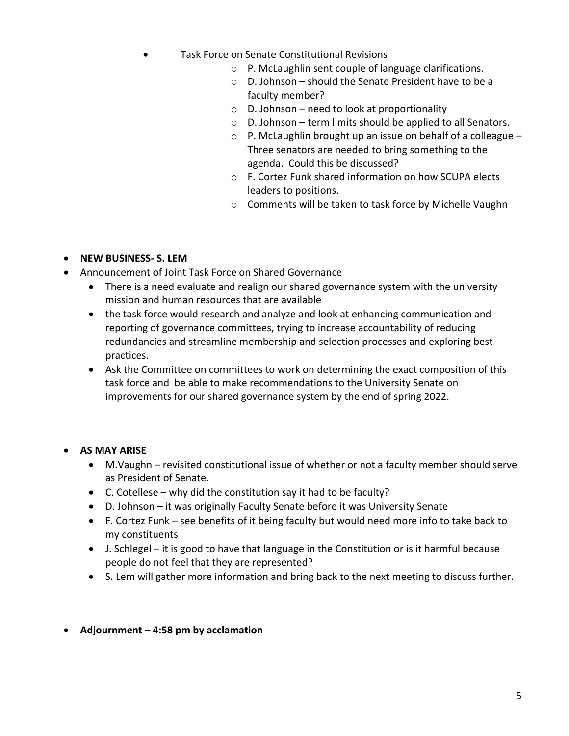- Task Force on Senate Constitutional Revisions
	- o P. McLaughlin sent couple of language clarifications.
	- o D. Johnson should the Senate President have to be a faculty member?
	- $\circ$  D. Johnson need to look at proportionality
	- o D. Johnson term limits should be applied to all Senators.
	- $\circ$  P. McLaughlin brought up an issue on behalf of a colleague Three senators are needed to bring something to the agenda. Could this be discussed?
	- o F. Cortez Funk shared information on how SCUPA elects leaders to positions.
	- o Comments will be taken to task force by Michelle Vaughn

## • **NEW BUSINESS- S. LEM**

- Announcement of Joint Task Force on Shared Governance
	- There is a need evaluate and realign our shared governance system with the university mission and human resources that are available
	- the task force would research and analyze and look at enhancing communication and reporting of governance committees, trying to increase accountability of reducing redundancies and streamline membership and selection processes and exploring best practices.
	- Ask the Committee on committees to work on determining the exact composition of this task force and be able to make recommendations to the University Senate on improvements for our shared governance system by the end of spring 2022.

## • **AS MAY ARISE**

- M.Vaughn revisited constitutional issue of whether or not a faculty member should serve as President of Senate.
- $\bullet$  C. Cotellese why did the constitution say it had to be faculty?
- D. Johnson it was originally Faculty Senate before it was University Senate
- F. Cortez Funk see benefits of it being faculty but would need more info to take back to my constituents
- J. Schlegel it is good to have that language in the Constitution or is it harmful because people do not feel that they are represented?
- S. Lem will gather more information and bring back to the next meeting to discuss further.
- **Adjournment – 4:58 pm by acclamation**